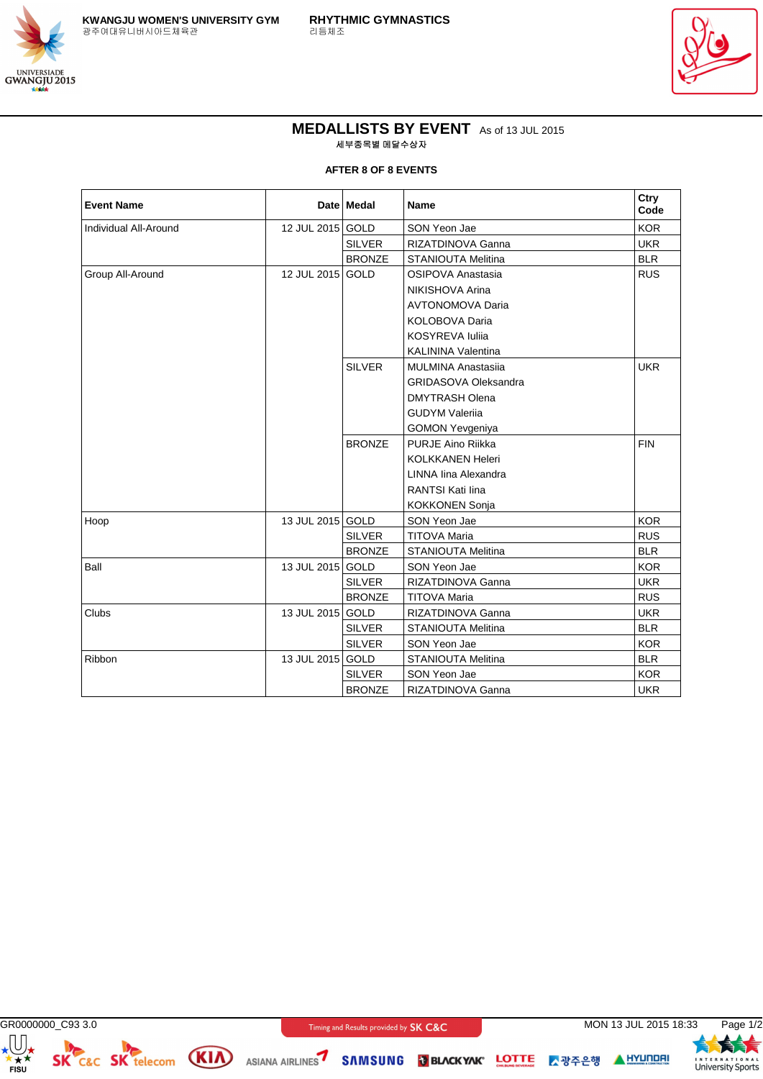



## **MEDALLISTS BY EVENT** As of 13 JUL 2015 세부종목별 메달수상자

**AFTER 8 OF 8 EVENTS**

| <b>Event Name</b>     |                  | Date Medal    | <b>Name</b>                 | Ctry<br>Code |
|-----------------------|------------------|---------------|-----------------------------|--------------|
| Individual All-Around | 12 JUL 2015 GOLD |               | SON Yeon Jae                | <b>KOR</b>   |
|                       |                  | <b>SILVER</b> | RIZATDINOVA Ganna           | <b>UKR</b>   |
|                       |                  | <b>BRONZE</b> | <b>STANIOUTA Melitina</b>   | <b>BLR</b>   |
| Group All-Around      | 12 JUL 2015 GOLD |               | OSIPOVA Anastasia           | <b>RUS</b>   |
|                       |                  |               | NIKISHOVA Arina             |              |
|                       |                  |               | <b>AVTONOMOVA Daria</b>     |              |
|                       |                  |               | KOLOBOVA Daria              |              |
|                       |                  |               | <b>KOSYREVA Iulija</b>      |              |
|                       |                  |               | <b>KALININA Valentina</b>   |              |
|                       |                  | <b>SILVER</b> | <b>MULMINA Anastasija</b>   | <b>UKR</b>   |
|                       |                  |               | <b>GRIDASOVA Oleksandra</b> |              |
|                       |                  |               | <b>DMYTRASH Olena</b>       |              |
|                       |                  |               | <b>GUDYM Valerija</b>       |              |
|                       |                  |               | <b>GOMON Yevgeniya</b>      |              |
|                       |                  | <b>BRONZE</b> | PURJE Aino Riikka           | <b>FIN</b>   |
|                       |                  |               | <b>KOLKKANEN Heleri</b>     |              |
|                       |                  |               | LINNA lina Alexandra        |              |
|                       |                  |               | <b>RANTSI Kati lina</b>     |              |
|                       |                  |               | <b>KOKKONEN Sonja</b>       |              |
| Hoop                  | 13 JUL 2015 GOLD |               | SON Yeon Jae                | <b>KOR</b>   |
|                       |                  | <b>SILVER</b> | <b>TITOVA Maria</b>         | <b>RUS</b>   |
|                       |                  | <b>BRONZE</b> | <b>STANIOUTA Melitina</b>   | <b>BLR</b>   |
| Ball                  | 13 JUL 2015 GOLD |               | SON Yeon Jae                | <b>KOR</b>   |
|                       |                  | <b>SILVER</b> | RIZATDINOVA Ganna           | <b>UKR</b>   |
|                       |                  | <b>BRONZE</b> | <b>TITOVA Maria</b>         | <b>RUS</b>   |
| Clubs                 | 13 JUL 2015 GOLD |               | RIZATDINOVA Ganna           | <b>UKR</b>   |
|                       |                  | <b>SILVER</b> | <b>STANIOUTA Melitina</b>   | <b>BLR</b>   |
|                       |                  | <b>SILVER</b> | SON Yeon Jae                | <b>KOR</b>   |
| Ribbon                | 13 JUL 2015 GOLD |               | <b>STANIOUTA Melitina</b>   | <b>BLR</b>   |
|                       |                  | <b>SILVER</b> | SON Yeon Jae                | <b>KOR</b>   |
|                       |                  | <b>BRONZE</b> | RIZATDINOVA Ganna           | <b>UKR</b>   |